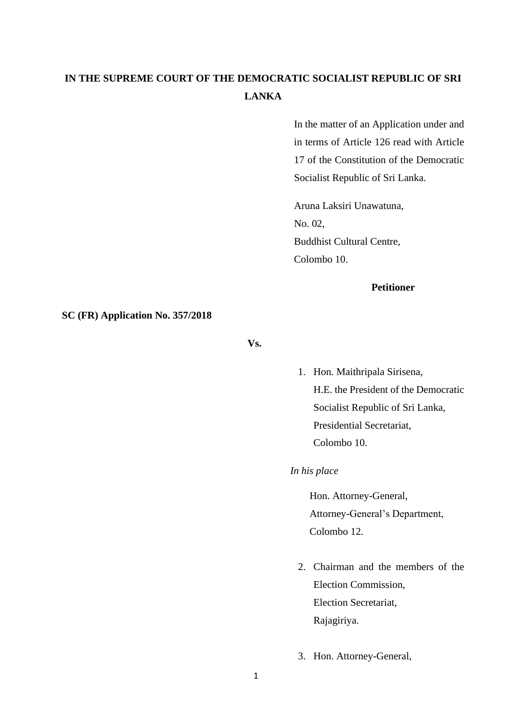## **IN THE SUPREME COURT OF THE DEMOCRATIC SOCIALIST REPUBLIC OF SRI LANKA**

In the matter of an Application under and in terms of Article 126 read with Article 17 of the Constitution of the Democratic Socialist Republic of Sri Lanka.

Aruna Laksiri Unawatuna, No. 02, Buddhist Cultural Centre, Colombo 10.

## **Petitioner**

**SC (FR) Application No. 357/2018**

**Vs.** 

1. Hon. Maithripala Sirisena, H.E. the President of the Democratic Socialist Republic of Sri Lanka, Presidential Secretariat, Colombo 10.

*In his place*

Hon. Attorney-General, Attorney-General's Department, Colombo 12.

- 2. Chairman and the members of the Election Commission, Election Secretariat, Rajagiriya.
- 3. Hon. Attorney-General,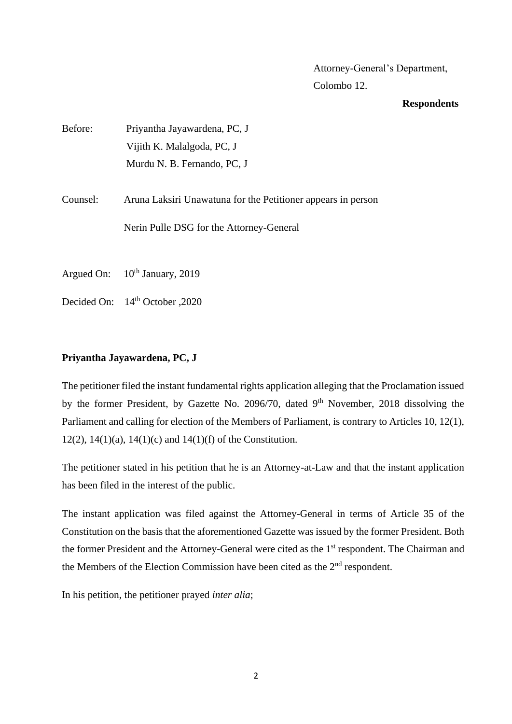Attorney-General's Department, Colombo 12.

## **Respondents**

| Before:    | Priyantha Jayawardena, PC, J                                 |
|------------|--------------------------------------------------------------|
|            | Vijith K. Malalgoda, PC, J                                   |
|            | Murdu N. B. Fernando, PC, J                                  |
|            |                                                              |
| Counsel:   | Aruna Laksiri Unawatuna for the Petitioner appears in person |
|            | Nerin Pulle DSG for the Attorney-General                     |
| Argued On: | $10th$ January, 2019                                         |

Decided On: 14<sup>th</sup> October ,2020

## **Priyantha Jayawardena, PC, J**

The petitioner filed the instant fundamental rights application alleging that the Proclamation issued by the former President, by Gazette No. 2096/70, dated 9<sup>th</sup> November, 2018 dissolving the Parliament and calling for election of the Members of Parliament, is contrary to Articles 10, 12(1), 12(2), 14(1)(a), 14(1)(c) and 14(1)(f) of the Constitution.

The petitioner stated in his petition that he is an Attorney-at-Law and that the instant application has been filed in the interest of the public.

The instant application was filed against the Attorney-General in terms of Article 35 of the Constitution on the basis that the aforementioned Gazette was issued by the former President. Both the former President and the Attorney-General were cited as the 1<sup>st</sup> respondent. The Chairman and the Members of the Election Commission have been cited as the  $2<sup>nd</sup>$  respondent.

In his petition, the petitioner prayed *inter alia*;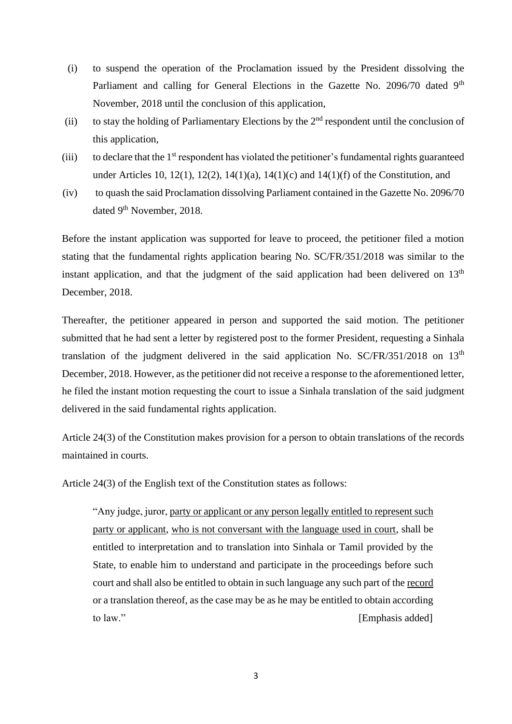- (i) to suspend the operation of the Proclamation issued by the President dissolving the Parliament and calling for General Elections in the Gazette No. 2096/70 dated 9<sup>th</sup> November, 2018 until the conclusion of this application,
- (ii) to stay the holding of Parliamentary Elections by the  $2<sup>nd</sup>$  respondent until the conclusion of this application,
- (iii) to declare that the 1st respondent has violated the petitioner's fundamental rights guaranteed under Articles 10, 12(1), 12(2), 14(1)(a), 14(1)(c) and 14(1)(f) of the Constitution, and
- (iv) to quash the said Proclamation dissolving Parliament contained in the Gazette No. 2096/70 dated 9<sup>th</sup> November, 2018.

Before the instant application was supported for leave to proceed, the petitioner filed a motion stating that the fundamental rights application bearing No. SC/FR/351/2018 was similar to the instant application, and that the judgment of the said application had been delivered on  $13<sup>th</sup>$ December, 2018.

Thereafter, the petitioner appeared in person and supported the said motion. The petitioner submitted that he had sent a letter by registered post to the former President, requesting a Sinhala translation of the judgment delivered in the said application No.  $SC/FR/351/2018$  on  $13<sup>th</sup>$ December, 2018. However, as the petitioner did not receive a response to the aforementioned letter, he filed the instant motion requesting the court to issue a Sinhala translation of the said judgment delivered in the said fundamental rights application.

Article 24(3) of the Constitution makes provision for a person to obtain translations of the records maintained in courts.

Article 24(3) of the English text of the Constitution states as follows:

"Any judge, juror, party or applicant or any person legally entitled to represent such party or applicant, who is not conversant with the language used in court, shall be entitled to interpretation and to translation into Sinhala or Tamil provided by the State, to enable him to understand and participate in the proceedings before such court and shall also be entitled to obtain in such language any such part of the record or a translation thereof, as the case may be as he may be entitled to obtain according to law." [Emphasis added]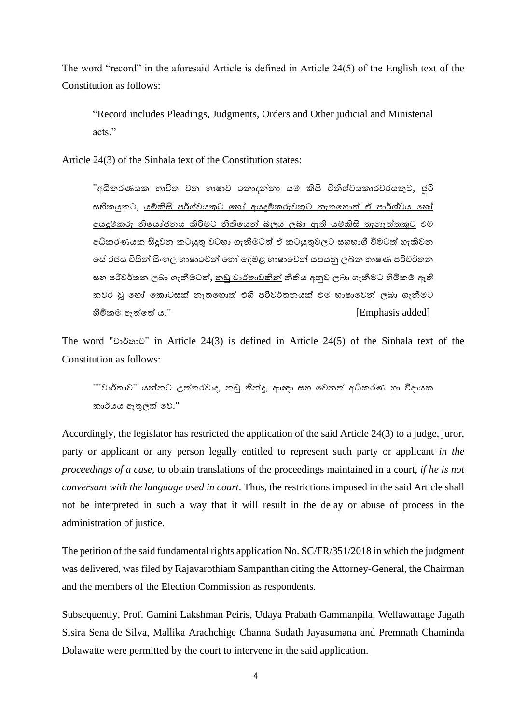The word "record" in the aforesaid Article is defined in Article 24(5) of the English text of the Constitution as follows:

"Record includes Pleadings, Judgments, Orders and Other judicial and Ministerial acts."

Article 24(3) of the Sinhala text of the Constitution states:

"අධිකරණයක භාවිත වන භාෂාව නනාදන්නා යම් කිසි විනිශ්චයකාරවරයකුට, ජූරි සභිකයුකට, යම්කිසි පර්ශ්වයකුට හෝ අයදුම්කරුවකුට නැතහොත් ඒ පාර්ශ්වය හෝ අයදුම්කරු නිනයෝජනය කිරීමට නීතිනයන් බලය ලබා ඇති යම්කිසි තැනැත්තකුට එම අධිකරණයක සිදුවන කටයුතු වටහා ගැනීමටත් ඒ කටයුතුවලට සහභාගී වීමටත් හැකිවන භේ රජය විසින් සිංහල භාෂාවෙන් හෝ දෙමළ භාෂාවෙන් සපයනු ලබන භාෂණ පරිවර්තන ස පරිවර්තන ලබා ගැනීමටත්, නඩු වාර්තාවකින් නීතිය අනුව ලබා ගැනීමට හිමිකම් ඇති කවර වු හෝ කොටසක් නැතහොත් එහි පරිවර්තනයක් එම භාෂාවෙන් ලබා ගැනීමට හිමිකම ඇත්නත් ය." [Emphasis added]

The word "වාර්තාව" in Article 24(3) is defined in Article 24(5) of the Sinhala text of the Constitution as follows:

""වාර්තාව" යන්නට උත්තරවාද, නඩු තීන්දු, ආඥා සහ වෙනත් අධිකරණ හා විදායක කාර්යය ඇතුලත් නේ."

Accordingly, the legislator has restricted the application of the said Article 24(3) to a judge, juror, party or applicant or any person legally entitled to represent such party or applicant *in the proceedings of a case*, to obtain translations of the proceedings maintained in a court, *if he is not conversant with the language used in court*. Thus, the restrictions imposed in the said Article shall not be interpreted in such a way that it will result in the delay or abuse of process in the administration of justice.

The petition of the said fundamental rights application No. SC/FR/351/2018 in which the judgment was delivered, was filed by Rajavarothiam Sampanthan citing the Attorney-General, the Chairman and the members of the Election Commission as respondents.

Subsequently, Prof. Gamini Lakshman Peiris, Udaya Prabath Gammanpila, Wellawattage Jagath Sisira Sena de Silva, Mallika Arachchige Channa Sudath Jayasumana and Premnath Chaminda Dolawatte were permitted by the court to intervene in the said application.